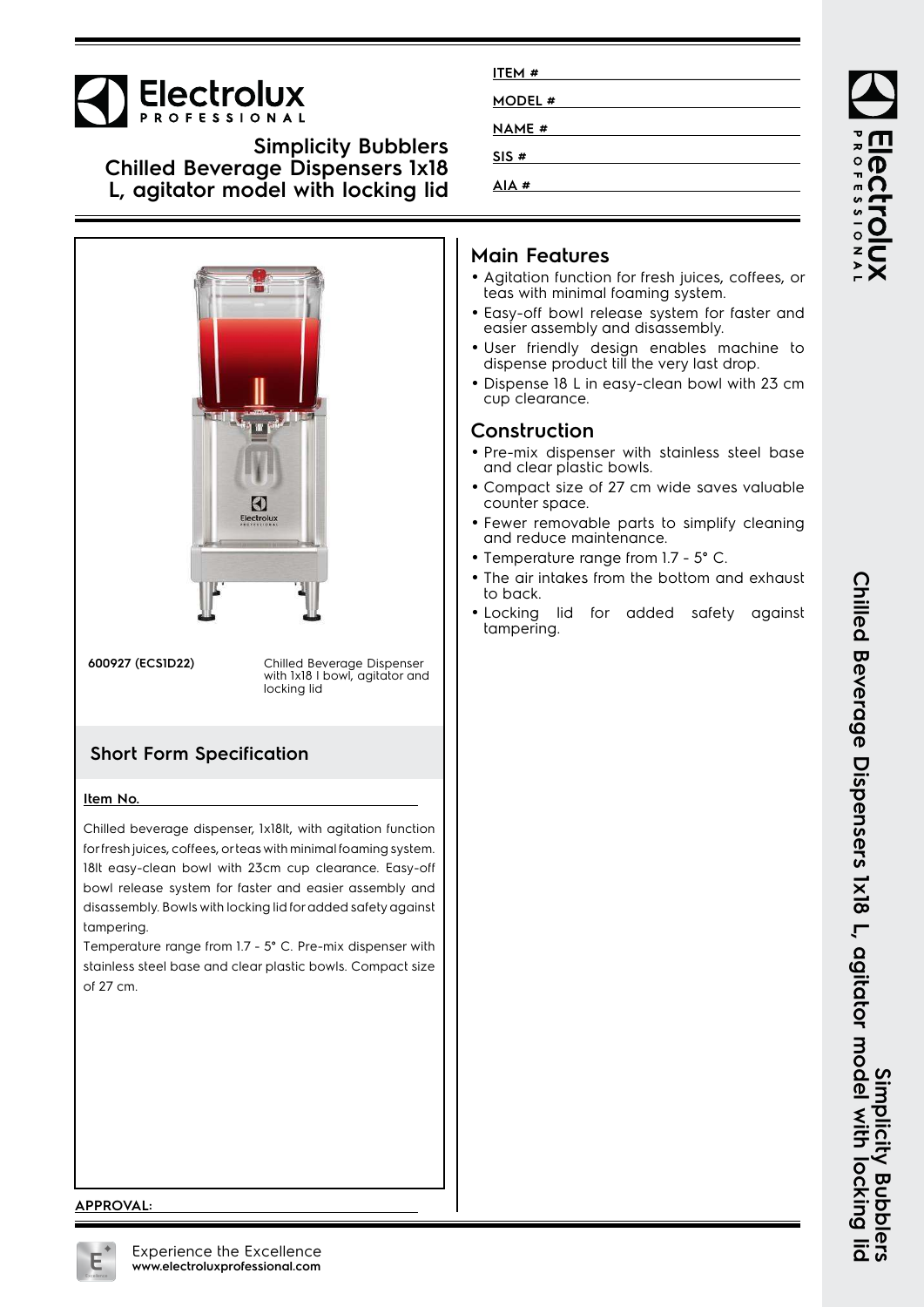

**Simplicity Bubblers Chilled Beverage Dispensers 1x18 L, agitator model with locking lid**



18lt easy-clean bowl with 23cm cup clearance. Easy-off bowl release system for faster and easier assembly and disassembly. Bowls with locking lid for added safety against tampering.

Temperature range from 1.7 - 5° C. Pre-mix dispenser with stainless steel base and clear plastic bowls. Compact size of 27 cm.

| ITEM#        |  |
|--------------|--|
| MODEL #      |  |
| <b>NAME#</b> |  |
| SIS#         |  |
| AIA#         |  |

# **Main Features**

- Agitation function for fresh juices, coffees, or teas with minimal foaming system.
- Easy-off bowl release system for faster and easier assembly and disassembly.
- User friendly design enables machine to dispense product till the very last drop.
- Dispense 18 L in easy-clean bowl with 23 cm cup clearance.

### **Construction**

- Pre-mix dispenser with stainless steel base and clear plastic bowls.
- Compact size of 27 cm wide saves valuable counter space.
- Fewer removable parts to simplify cleaning and reduce maintenance.
- Temperature range from 1.7 5° C.
- The air intakes from the bottom and exhaust to back.
- Locking lid for added safety against tampering.

#### **APPROVAL:**

Experience the Excellence **www.electroluxprofessional.com**